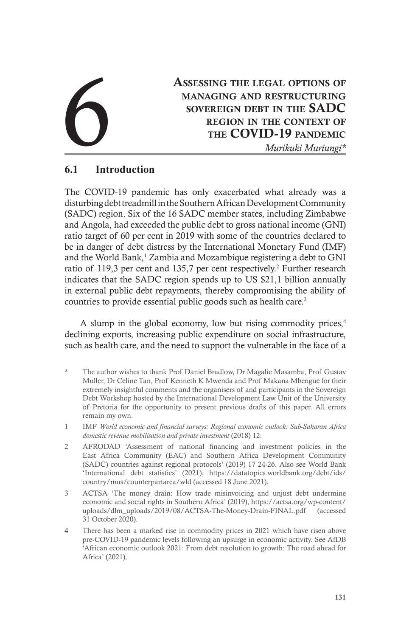# Assessing the legal options of managing and restructuring sovereign debt in the SADC region in the context of ASSESSING THE LEGAL OPTIONS OF MANAGING AND RESTRUCTURING SOVEREIGN DEBT IN THE SADC REGION IN THE CONTEXT OF THE COVID-19 PANDEMIC Murikuki Muriungi<sup>\*</sup>

## **6.1 Introduction**

The COVID-19 pandemic has only exacerbated what already was a disturbing debt treadmill in the Southern African Development Community (SADC) region. Six of the 16 SADC member states, including Zimbabwe and Angola, had exceeded the public debt to gross national income (GNI) ratio target of 60 per cent in 2019 with some of the countries declared to be in danger of debt distress by the International Monetary Fund (IMF) and the World Bank,<sup>1</sup> Zambia and Mozambique registering a debt to GNI ratio of 119,3 per cent and 135,7 per cent respectively.<sup>2</sup> Further research indicates that the SADC region spends up to US \$21,1 billion annually in external public debt repayments, thereby compromising the ability of countries to provide essential public goods such as health care.<sup>3</sup>

A slump in the global economy, low but rising commodity prices,<sup>4</sup> declining exports, increasing public expenditure on social infrastructure, such as health care, and the need to support the vulnerable in the face of a

- The author wishes to thank Prof Daniel Bradlow, Dr Magalie Masamba, Prof Gustav Muller, Dr Celine Tan, Prof Kenneth K Mwenda and Prof Makana Mbengue for their extremely insightful comments and the organisers of and participants in the Sovereign Debt Workshop hosted by the International Development Law Unit of the University of Pretoria for the opportunity to present previous drafts of this paper. All errors remain my own.
- 1 IMF *World economic and financial surveys: Regional economic outlook: Sub-Saharan Africa domestic revenue mobilisation and private investment* (2018) 12.
- 2 AFRODAD 'Assessment of national financing and investment policies in the East Africa Community (EAC) and Southern Africa Development Community (SADC) countries against regional protocols' (2019) 17 24-26. Also see World Bank 'International debt statistics' (2021), https://datatopics.worldbank.org/debt/ids/ country/mus/counterpartarea/wld (accessed 18 June 2021).
- 3 ACTSA 'The money drain: How trade misinvoicing and unjust debt undermine economic and social rights in Southern Africa' (2019), https://actsa.org/wp-content/ uploads/dlm\_uploads/2019/08/ACTSA-The-Money-Drain-FINAL.pdf (accessed 31 October 2020).
- 4 There has been a marked rise in commodity prices in 2021 which have risen above pre-COVID-19 pandemic levels following an upsurge in economic activity. See AfDB 'African economic outlook 2021: From debt resolution to growth: The road ahead for Africa' (2021).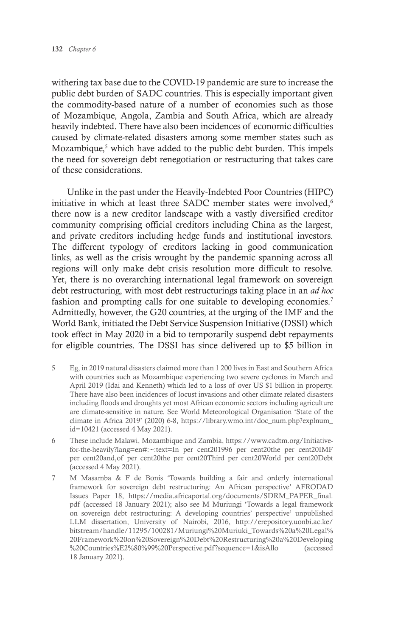withering tax base due to the COVID-19 pandemic are sure to increase the public debt burden of SADC countries. This is especially important given the commodity-based nature of a number of economies such as those of Mozambique, Angola, Zambia and South Africa, which are already heavily indebted. There have also been incidences of economic difficulties caused by climate-related disasters among some member states such as Mozambique,<sup>5</sup> which have added to the public debt burden. This impels the need for sovereign debt renegotiation or restructuring that takes care of these considerations.

Unlike in the past under the Heavily-Indebted Poor Countries (HIPC) initiative in which at least three SADC member states were involved.<sup>6</sup> there now is a new creditor landscape with a vastly diversified creditor community comprising official creditors including China as the largest, and private creditors including hedge funds and institutional investors. The different typology of creditors lacking in good communication links, as well as the crisis wrought by the pandemic spanning across all regions will only make debt crisis resolution more difficult to resolve. Yet, there is no overarching international legal framework on sovereign debt restructuring, with most debt restructurings taking place in an *ad hoc* fashion and prompting calls for one suitable to developing economies.<sup>7</sup> Admittedly, however, the G20 countries, at the urging of the IMF and the World Bank, initiated the Debt Service Suspension Initiative (DSSI) which took effect in May 2020 in a bid to temporarily suspend debt repayments for eligible countries. The DSSI has since delivered up to \$5 billion in

- 5 Eg, in 2019 natural disasters claimed more than 1 200 lives in East and Southern Africa with countries such as Mozambique experiencing two severe cyclones in March and April 2019 (Idai and Kenneth) which led to a loss of over US \$1 billion in property. There have also been incidences of locust invasions and other climate related disasters including floods and droughts yet most African economic sectors including agriculture are climate-sensitive in nature. See World Meteorological Organisation 'State of the climate in Africa 2019' (2020) 6-8, https://library.wmo.int/doc\_num.php?explnum\_ id=10421 (accessed 4 May 2021).
- 6 These include Malawi, Mozambique and Zambia, https://www.cadtm.org/Initiativefor-the-heavily?lang=en#:~:text=In per cent201996 per cent20the per cent20IMF per cent20and,of per cent20the per cent20Third per cent20World per cent20Debt (accessed 4 May 2021).
- 7 M Masamba & F de Bonis 'Towards building a fair and orderly international framework for sovereign debt restructuring: An African perspective' AFRODAD Issues Paper 18, https://media.africaportal.org/documents/SDRM\_PAPER\_final. pdf (accessed 18 January 2021); also see M Muriungi 'Towards a legal framework on sovereign debt restructuring: A developing countries' perspective' unpublished LLM dissertation, University of Nairobi, 2016, http://erepository.uonbi.ac.ke/ bitstream/handle/11295/100281/Muriungi%20Muriuki\_Towards%20a%20Legal% 20Framework%20on%20Sovereign%20Debt%20Restructuring%20a%20Developing %20Countries%E2%80%99%20Perspective.pdf?sequence=1&isAllo (accessed 18 January 2021).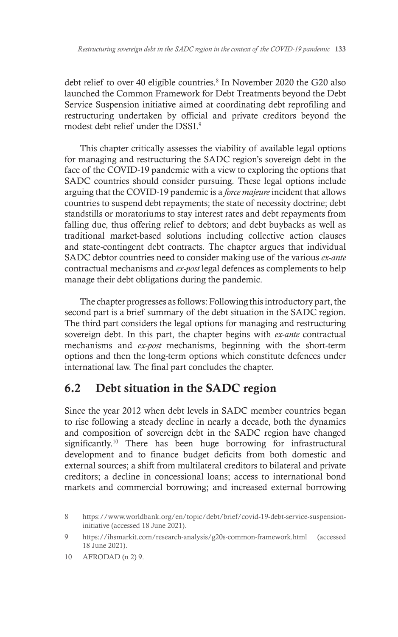debt relief to over 40 eligible countries.<sup>8</sup> In November 2020 the G20 also launched the Common Framework for Debt Treatments beyond the Debt Service Suspension initiative aimed at coordinating debt reprofiling and restructuring undertaken by official and private creditors beyond the modest debt relief under the DSSI.9

This chapter critically assesses the viability of available legal options for managing and restructuring the SADC region's sovereign debt in the face of the COVID-19 pandemic with a view to exploring the options that SADC countries should consider pursuing. These legal options include arguing that the COVID-19 pandemic is a *force majeure* incident that allows countries to suspend debt repayments; the state of necessity doctrine; debt standstills or moratoriums to stay interest rates and debt repayments from falling due, thus offering relief to debtors; and debt buybacks as well as traditional market-based solutions including collective action clauses and state-contingent debt contracts. The chapter argues that individual SADC debtor countries need to consider making use of the various *ex-ante*  contractual mechanisms and *ex-post* legal defences as complements to help manage their debt obligations during the pandemic.

The chapter progresses as follows: Following this introductory part, the second part is a brief summary of the debt situation in the SADC region. The third part considers the legal options for managing and restructuring sovereign debt. In this part, the chapter begins with *ex-ante* contractual mechanisms and *ex-post* mechanisms, beginning with the short-term options and then the long-term options which constitute defences under international law. The final part concludes the chapter.

## 6.2 Debt situation in the SADC region

Since the year 2012 when debt levels in SADC member countries began to rise following a steady decline in nearly a decade, both the dynamics and composition of sovereign debt in the SADC region have changed significantly.<sup>10</sup> There has been huge borrowing for infrastructural development and to finance budget deficits from both domestic and external sources; a shift from multilateral creditors to bilateral and private creditors; a decline in concessional loans; access to international bond markets and commercial borrowing; and increased external borrowing

<sup>8</sup> https://www.worldbank.org/en/topic/debt/brief/covid-19-debt-service-suspensioninitiative (accessed 18 June 2021).

<sup>9</sup> https://ihsmarkit.com/research-analysis/g20s-common-framework.html (accessed 18 June 2021).

<sup>10</sup> AFRODAD (n 2) 9.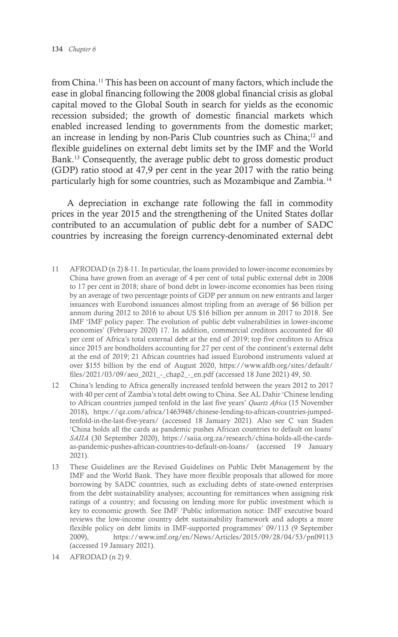from China.11 This has been on account of many factors, which include the ease in global financing following the 2008 global financial crisis as global capital moved to the Global South in search for yields as the economic recession subsided; the growth of domestic financial markets which enabled increased lending to governments from the domestic market; an increase in lending by non-Paris Club countries such as China;12 and flexible guidelines on external debt limits set by the IMF and the World Bank.13 Consequently, the average public debt to gross domestic product (GDP) ratio stood at 47,9 per cent in the year 2017 with the ratio being particularly high for some countries, such as Mozambique and Zambia.14

A depreciation in exchange rate following the fall in commodity prices in the year 2015 and the strengthening of the United States dollar contributed to an accumulation of public debt for a number of SADC countries by increasing the foreign currency-denominated external debt

- 11 AFRODAD (n 2) 8-11. In particular, the loans provided to lower-income economies by China have grown from an average of 4 per cent of total public external debt in 2008 to 17 per cent in 2018; share of bond debt in lower-income economies has been rising by an average of two percentage points of GDP per annum on new entrants and larger issuances with Eurobond issuances almost tripling from an average of \$6 billion per annum during 2012 to 2016 to about US \$16 billion per annum in 2017 to 2018. See IMF 'IMF policy paper: The evolution of public debt vulnerabilities in lower-income economies' (February 2020) 17. In addition, commercial creditors accounted for 40 per cent of Africa's total external debt at the end of 2019; top five creditors to Africa since 2015 are bondholders accounting for 27 per cent of the continent's external debt at the end of 2019; 21 African countries had issued Eurobond instruments valued at over \$155 billion by the end of August 2020, https://www.afdb.org/sites/default/ files/2021/03/09/aeo\_2021\_-\_chap2\_-\_en.pdf (accessed 18 June 2021) 49, 50.
- 12 China's lending to Africa generally increased tenfold between the years 2012 to 2017 with 40 per cent of Zambia's total debt owing to China. See AL Dahir 'Chinese lending to African countries jumped tenfold in the last five years' *Quartz Africa* (15 November 2018), https://qz.com/africa/1463948/chinese-lending-to-african-countries-jumpedtenfold-in-the-last-five-years/ (accessed 18 January 2021). Also see C van Staden 'China holds all the cards as pandemic pushes African countries to default on loans' *SAIIA* (30 September 2020), https://saiia.org.za/research/china-holds-all-the-cardsas-pandemic-pushes-african-countries-to-default-on-loans/ (accessed 19 January 2021).
- 13 These Guidelines are the Revised Guidelines on Public Debt Management by the IMF and the World Bank. They have more flexible proposals that allowed for more borrowing by SADC countries, such as excluding debts of state-owned enterprises from the debt sustainability analyses; accounting for remittances when assigning risk ratings of a country; and focusing on lending more for public investment which is key to economic growth. See IMF 'Public information notice: IMF executive board reviews the low-income country debt sustainability framework and adopts a more flexible policy on debt limits in IMF-supported programmes' 09/113 (9 September 2009), https://www.imf.org/en/News/Articles/2015/09/28/04/53/pn09113 (accessed 19 January 2021).
- 14 AFRODAD (n 2) 9.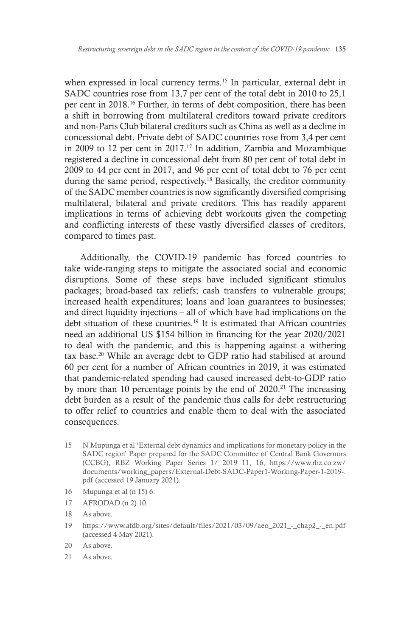when expressed in local currency terms.<sup>15</sup> In particular, external debt in SADC countries rose from 13,7 per cent of the total debt in 2010 to 25,1 per cent in 2018.16 Further, in terms of debt composition, there has been a shift in borrowing from multilateral creditors toward private creditors and non-Paris Club bilateral creditors such as China as well as a decline in concessional debt. Private debt of SADC countries rose from 3,4 per cent in 2009 to 12 per cent in 2017.17 In addition, Zambia and Mozambique registered a decline in concessional debt from 80 per cent of total debt in 2009 to 44 per cent in 2017, and 96 per cent of total debt to 76 per cent during the same period, respectively.<sup>18</sup> Basically, the creditor community of the SADC member countries is now significantly diversified comprising multilateral, bilateral and private creditors. This has readily apparent implications in terms of achieving debt workouts given the competing and conflicting interests of these vastly diversified classes of creditors, compared to times past.

Additionally, the COVID-19 pandemic has forced countries to take wide-ranging steps to mitigate the associated social and economic disruptions. Some of these steps have included significant stimulus packages; broad-based tax reliefs; cash transfers to vulnerable groups; increased health expenditures; loans and loan guarantees to businesses; and direct liquidity injections – all of which have had implications on the debt situation of these countries.<sup>19</sup> It is estimated that African countries need an additional US \$154 billion in financing for the year 2020/2021 to deal with the pandemic, and this is happening against a withering tax base.20 While an average debt to GDP ratio had stabilised at around 60 per cent for a number of African countries in 2019, it was estimated that pandemic-related spending had caused increased debt-to-GDP ratio by more than 10 percentage points by the end of 2020.<sup>21</sup> The increasing debt burden as a result of the pandemic thus calls for debt restructuring to offer relief to countries and enable them to deal with the associated consequences.

- 15 N Mupunga et al 'External debt dynamics and implications for monetary policy in the SADC region' Paper prepared for the SADC Committee of Central Bank Governors (CCBG), RBZ Working Paper Series 1/ 2019 11, 16, https://www.rbz.co.zw/ documents/working\_papers/External-Debt-SADC-Paper1-Working-Paper-1-2019-. pdf (accessed 19 January 2021).
- 16 Mupunga et al (n 15) 6.
- 17 AFRODAD (n 2) 10.
- 18 As above.
- 19 https://www.afdb.org/sites/default/files/2021/03/09/aeo\_2021\_-\_chap2\_-\_en.pdf (accessed 4 May 2021).
- 20 As above.
- 21 As above.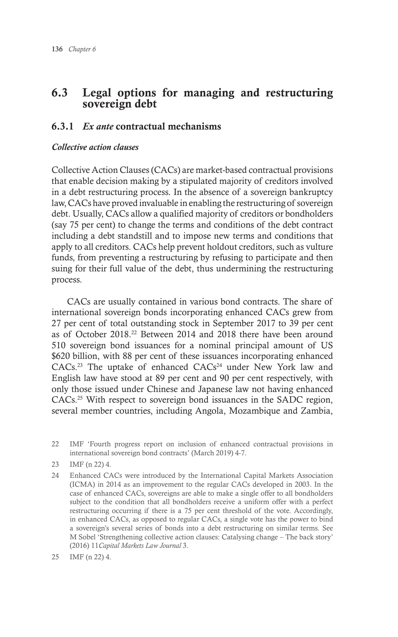## 6.3 Legal options for managing and restructuring sovereign debt

### 6.3.1 *Ex ante* contractual mechanisms

#### *Collective action clauses*

Collective Action Clauses (CACs) are market-based contractual provisions that enable decision making by a stipulated majority of creditors involved in a debt restructuring process. In the absence of a sovereign bankruptcy law, CACs have proved invaluable in enabling the restructuring of sovereign debt. Usually, CACs allow a qualified majority of creditors or bondholders (say 75 per cent) to change the terms and conditions of the debt contract including a debt standstill and to impose new terms and conditions that apply to all creditors. CACs help prevent holdout creditors, such as vulture funds, from preventing a restructuring by refusing to participate and then suing for their full value of the debt, thus undermining the restructuring process.

CACs are usually contained in various bond contracts. The share of international sovereign bonds incorporating enhanced CACs grew from 27 per cent of total outstanding stock in September 2017 to 39 per cent as of October 2018.22 Between 2014 and 2018 there have been around 510 sovereign bond issuances for a nominal principal amount of US \$620 billion, with 88 per cent of these issuances incorporating enhanced CACs.<sup>23</sup> The uptake of enhanced CACs<sup>24</sup> under New York law and English law have stood at 89 per cent and 90 per cent respectively, with only those issued under Chinese and Japanese law not having enhanced CACs.25 With respect to sovereign bond issuances in the SADC region, several member countries, including Angola, Mozambique and Zambia,

<sup>22</sup> IMF 'Fourth progress report on inclusion of enhanced contractual provisions in international sovereign bond contracts' (March 2019) 4-7.

<sup>23</sup> IMF (n 22) 4.

<sup>24</sup> Enhanced CACs were introduced by the International Capital Markets Association (ICMA) in 2014 as an improvement to the regular CACs developed in 2003. In the case of enhanced CACs, sovereigns are able to make a single offer to all bondholders subject to the condition that all bondholders receive a uniform offer with a perfect restructuring occurring if there is a 75 per cent threshold of the vote. Accordingly, in enhanced CACs, as opposed to regular CACs, a single vote has the power to bind a sovereign's several series of bonds into a debt restructuring on similar terms. See M Sobel 'Strengthening collective action clauses: Catalysing change – The back story' (2016) 11*Capital Markets Law Journal* 3.

<sup>25</sup> IMF (n 22) 4.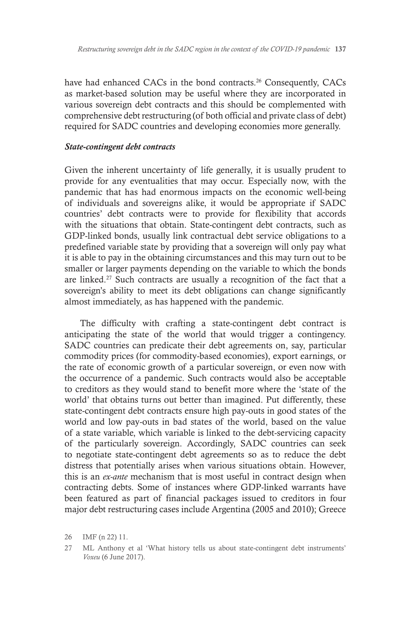have had enhanced CACs in the bond contracts.<sup>26</sup> Consequently, CACs as market-based solution may be useful where they are incorporated in various sovereign debt contracts and this should be complemented with comprehensive debt restructuring (of both official and private class of debt) required for SADC countries and developing economies more generally.

#### *State-contingent debt contracts*

Given the inherent uncertainty of life generally, it is usually prudent to provide for any eventualities that may occur. Especially now, with the pandemic that has had enormous impacts on the economic well-being of individuals and sovereigns alike, it would be appropriate if SADC countries' debt contracts were to provide for flexibility that accords with the situations that obtain. State-contingent debt contracts, such as GDP-linked bonds, usually link contractual debt service obligations to a predefined variable state by providing that a sovereign will only pay what it is able to pay in the obtaining circumstances and this may turn out to be smaller or larger payments depending on the variable to which the bonds are linked.27 Such contracts are usually a recognition of the fact that a sovereign's ability to meet its debt obligations can change significantly almost immediately, as has happened with the pandemic.

The difficulty with crafting a state-contingent debt contract is anticipating the state of the world that would trigger a contingency. SADC countries can predicate their debt agreements on, say, particular commodity prices (for commodity-based economies), export earnings, or the rate of economic growth of a particular sovereign, or even now with the occurrence of a pandemic. Such contracts would also be acceptable to creditors as they would stand to benefit more where the 'state of the world' that obtains turns out better than imagined. Put differently, these state-contingent debt contracts ensure high pay-outs in good states of the world and low pay-outs in bad states of the world, based on the value of a state variable, which variable is linked to the debt-servicing capacity of the particularly sovereign. Accordingly, SADC countries can seek to negotiate state-contingent debt agreements so as to reduce the debt distress that potentially arises when various situations obtain. However, this is an *ex-ante* mechanism that is most useful in contract design when contracting debts. Some of instances where GDP-linked warrants have been featured as part of financial packages issued to creditors in four major debt restructuring cases include Argentina (2005 and 2010); Greece

<sup>26</sup> IMF (n 22) 11.

<sup>27</sup> ML Anthony et al 'What history tells us about state-contingent debt instruments' *Voxeu* (6 June 2017).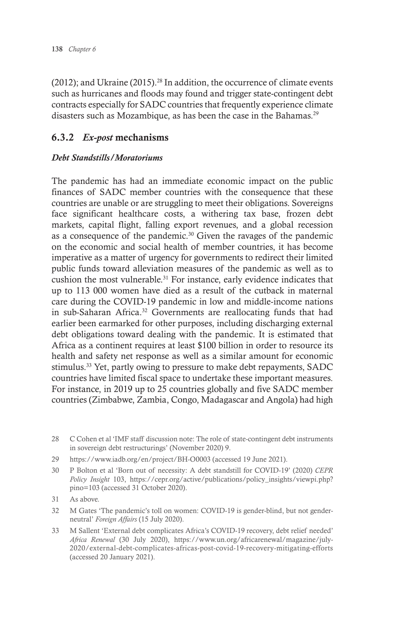(2012); and Ukraine (2015).<sup>28</sup> In addition, the occurrence of climate events such as hurricanes and floods may found and trigger state-contingent debt contracts especially for SADC countries that frequently experience climate disasters such as Mozambique, as has been the case in the Bahamas.<sup>29</sup>

## 6.3.2 *Ex-post* mechanisms

#### *Debt Standstills/Moratoriums*

The pandemic has had an immediate economic impact on the public finances of SADC member countries with the consequence that these countries are unable or are struggling to meet their obligations. Sovereigns face significant healthcare costs, a withering tax base, frozen debt markets, capital flight, falling export revenues, and a global recession as a consequence of the pandemic.<sup>30</sup> Given the ravages of the pandemic on the economic and social health of member countries, it has become imperative as a matter of urgency for governments to redirect their limited public funds toward alleviation measures of the pandemic as well as to cushion the most vulnerable.<sup>31</sup> For instance, early evidence indicates that up to 113 000 women have died as a result of the cutback in maternal care during the COVID-19 pandemic in low and middle-income nations in sub-Saharan Africa.<sup>32</sup> Governments are reallocating funds that had earlier been earmarked for other purposes, including discharging external debt obligations toward dealing with the pandemic. It is estimated that Africa as a continent requires at least \$100 billion in order to resource its health and safety net response as well as a similar amount for economic stimulus.<sup>33</sup> Yet, partly owing to pressure to make debt repayments, SADC countries have limited fiscal space to undertake these important measures. For instance, in 2019 up to 25 countries globally and five SADC member countries (Zimbabwe, Zambia, Congo, Madagascar and Angola) had high

29 https://www.iadb.org/en/project/BH-O0003 (accessed 19 June 2021).

- 31 As above.
- 32 M Gates 'The pandemic's toll on women: COVID-19 is gender-blind, but not genderneutral' *Foreign Affairs* (15 July 2020).
- 33 M Sallent 'External debt complicates Africa's COVID-19 recovery, debt relief needed' *Africa Renewal* (30 July 2020), https://www.un.org/africarenewal/magazine/july-2020/external-debt-complicates-africas-post-covid-19-recovery-mitigating-efforts (accessed 20 January 2021).

<sup>28</sup> C Cohen et al 'IMF staff discussion note: The role of state-contingent debt instruments in sovereign debt restructurings' (November 2020) 9.

<sup>30</sup> P Bolton et al 'Born out of necessity: A debt standstill for COVID-19' (2020) *CEPR Policy Insight* 103, https://cepr.org/active/publications/policy\_insights/viewpi.php? pino=103 (accessed 31 October 2020).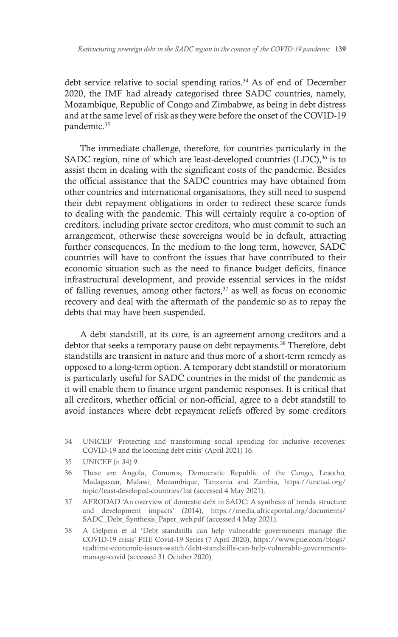debt service relative to social spending ratios.<sup>34</sup> As of end of December 2020, the IMF had already categorised three SADC countries, namely, Mozambique, Republic of Congo and Zimbabwe, as being in debt distress and at the same level of risk as they were before the onset of the COVID-19 pandemic.<sup>35</sup>

The immediate challenge, therefore, for countries particularly in the SADC region, nine of which are least-developed countries (LDC),<sup>36</sup> is to assist them in dealing with the significant costs of the pandemic. Besides the official assistance that the SADC countries may have obtained from other countries and international organisations, they still need to suspend their debt repayment obligations in order to redirect these scarce funds to dealing with the pandemic. This will certainly require a co-option of creditors, including private sector creditors, who must commit to such an arrangement, otherwise these sovereigns would be in default, attracting further consequences. In the medium to the long term, however, SADC countries will have to confront the issues that have contributed to their economic situation such as the need to finance budget deficits, finance infrastructural development, and provide essential services in the midst of falling revenues, among other factors,<sup>37</sup> as well as focus on economic recovery and deal with the aftermath of the pandemic so as to repay the debts that may have been suspended.

A debt standstill, at its core, is an agreement among creditors and a debtor that seeks a temporary pause on debt repayments.<sup>38</sup> Therefore, debt standstills are transient in nature and thus more of a short-term remedy as opposed to a long-term option. A temporary debt standstill or moratorium is particularly useful for SADC countries in the midst of the pandemic as it will enable them to finance urgent pandemic responses. It is critical that all creditors, whether official or non-official, agree to a debt standstill to avoid instances where debt repayment reliefs offered by some creditors

- 34 UNICEF 'Protecting and transforming social spending for inclusive recoveries*:*  COVID-19 and the looming debt crisis' (April 2021) 16.
- 35 UNICEF (n 34) 9.
- 36 These are Angola, Comoros, Democratic Republic of the Congo, Lesotho, Madagascar, Malawi, Mozambique, Tanzania and Zambia, https://unctad.org/ topic/least-developed-countries/list (accessed 4 May 2021).
- 37 AFRODAD 'An overview of domestic debt in SADC: A synthesis of trends, structure and development impacts' (2014), https://media.africaportal.org/documents/ SADC\_Debt\_Synthesis\_Paper\_web.pdf (accessed 4 May 2021).
- 38 A Gelpern et al 'Debt standstills can help vulnerable governments manage the COVID-19 crisis' PIIE Covid-19 Series (7 April 2020), https://www.piie.com/blogs/ realtime-economic-issues-watch/debt-standstills-can-help-vulnerable-governmentsmanage-covid (accessed 31 October 2020).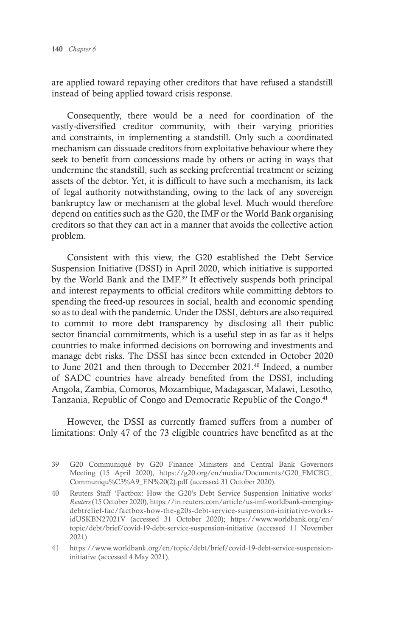are applied toward repaying other creditors that have refused a standstill instead of being applied toward crisis response.

Consequently, there would be a need for coordination of the vastly-diversified creditor community, with their varying priorities and constraints, in implementing a standstill. Only such a coordinated mechanism can dissuade creditors from exploitative behaviour where they seek to benefit from concessions made by others or acting in ways that undermine the standstill, such as seeking preferential treatment or seizing assets of the debtor. Yet, it is difficult to have such a mechanism, its lack of legal authority notwithstanding, owing to the lack of any sovereign bankruptcy law or mechanism at the global level. Much would therefore depend on entities such as the G20, the IMF or the World Bank organising creditors so that they can act in a manner that avoids the collective action problem.

Consistent with this view, the G20 established the Debt Service Suspension Initiative (DSSI) in April 2020, which initiative is supported by the World Bank and the IMF.<sup>39</sup> It effectively suspends both principal and interest repayments to official creditors while committing debtors to spending the freed-up resources in social, health and economic spending so as to deal with the pandemic. Under the DSSI, debtors are also required to commit to more debt transparency by disclosing all their public sector financial commitments, which is a useful step in as far as it helps countries to make informed decisions on borrowing and investments and manage debt risks. The DSSI has since been extended in October 2020 to June 2021 and then through to December 2021.<sup>40</sup> Indeed, a number of SADC countries have already benefited from the DSSI, including Angola, Zambia, Comoros, Mozambique, Madagascar, Malawi, Lesotho, Tanzania, Republic of Congo and Democratic Republic of the Congo.<sup>41</sup>

However, the DSSI as currently framed suffers from a number of limitations: Only 47 of the 73 eligible countries have benefited as at the

- 39 G20 Communiqué by G20 Finance Ministers and Central Bank Governors Meeting (15 April 2020), https://g20.org/en/media/Documents/G20\_FMCBG\_ Communiqu%C3%A9\_EN%20(2).pdf (accessed 31 October 2020).
- 40 Reuters Staff 'Factbox: How the G20's Debt Service Suspension Initiative works' *Reuters* (15 October 2020), https://in.reuters.com/article/us-imf-worldbank-emergingdebtrelief-fac/factbox-how-the-g20s-debt-service-suspension-initiative-worksidUSKBN27021V (accessed 31 October 2020); https://www.worldbank.org/en/ topic/debt/brief/covid-19-debt-service-suspension-initiative (accessed 11 November 2021)
- 41 https://www.worldbank.org/en/topic/debt/brief/covid-19-debt-service-suspensioninitiative (accessed 4 May 2021).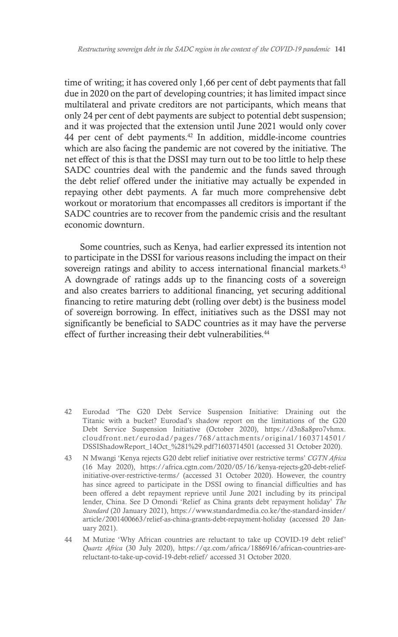time of writing; it has covered only 1,66 per cent of debt payments that fall due in 2020 on the part of developing countries; it has limited impact since multilateral and private creditors are not participants, which means that only 24 per cent of debt payments are subject to potential debt suspension; and it was projected that the extension until June 2021 would only cover 44 per cent of debt payments.<sup>42</sup> In addition, middle-income countries which are also facing the pandemic are not covered by the initiative. The net effect of this is that the DSSI may turn out to be too little to help these SADC countries deal with the pandemic and the funds saved through the debt relief offered under the initiative may actually be expended in repaying other debt payments. A far much more comprehensive debt workout or moratorium that encompasses all creditors is important if the SADC countries are to recover from the pandemic crisis and the resultant economic downturn.

Some countries, such as Kenya, had earlier expressed its intention not to participate in the DSSI for various reasons including the impact on their sovereign ratings and ability to access international financial markets.<sup>43</sup> A downgrade of ratings adds up to the financing costs of a sovereign and also creates barriers to additional financing, yet securing additional financing to retire maturing debt (rolling over debt) is the business model of sovereign borrowing. In effect, initiatives such as the DSSI may not significantly be beneficial to SADC countries as it may have the perverse effect of further increasing their debt vulnerabilities.<sup>44</sup>

- 42 Eurodad 'The G20 Debt Service Suspension Initiative: Draining out the Titanic with a bucket? Eurodad's shadow report on the limitations of the G20 Debt Service Suspension Initiative (October 2020), https://d3n8a8pro7vhmx. cloudfront.net/eurodad/pages/768/attachments/original/1603714501/ DSSIShadowReport\_14Oct\_%281%29.pdf?1603714501 (accessed 31 October 2020).
- 43 N Mwangi 'Kenya rejects G20 debt relief initiative over restrictive terms' *CGTN Africa* (16 May 2020), https://africa.cgtn.com/2020/05/16/kenya-rejects-g20-debt-reliefinitiative-over-restrictive-terms/ (accessed 31 October 2020). However, the country has since agreed to participate in the DSSI owing to financial difficulties and has been offered a debt repayment reprieve until June 2021 including by its principal lender, China. See D Omondi 'Relief as China grants debt repayment holiday' *The Standard* (20 January 2021), https://www.standardmedia.co.ke/the-standard-insider/ article/2001400663/relief-as-china-grants-debt-repayment-holiday (accessed 20 January 2021).
- 44 M Mutize 'Why African countries are reluctant to take up COVID-19 debt relief' *Quartz Africa* (30 July 2020), https://qz.com/africa/1886916/african-countries-arereluctant-to-take-up-covid-19-debt-relief/ accessed 31 October 2020.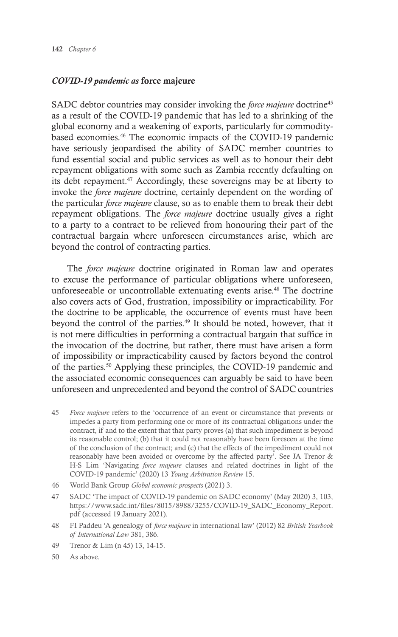#### *COVID-19 pandemic as* force majeure

SADC debtor countries may consider invoking the *force majeure* doctrine<sup>45</sup> as a result of the COVID-19 pandemic that has led to a shrinking of the global economy and a weakening of exports, particularly for commoditybased economies.46 The economic impacts of the COVID-19 pandemic have seriously jeopardised the ability of SADC member countries to fund essential social and public services as well as to honour their debt repayment obligations with some such as Zambia recently defaulting on its debt repayment.<sup>47</sup> Accordingly, these sovereigns may be at liberty to invoke the *force majeure* doctrine, certainly dependent on the wording of the particular *force majeure* clause, so as to enable them to break their debt repayment obligations. The *force majeure* doctrine usually gives a right to a party to a contract to be relieved from honouring their part of the contractual bargain where unforeseen circumstances arise, which are beyond the control of contracting parties.

The *force majeure* doctrine originated in Roman law and operates to excuse the performance of particular obligations where unforeseen, unforeseeable or uncontrollable extenuating events arise.<sup>48</sup> The doctrine also covers acts of God, frustration, impossibility or impracticability. For the doctrine to be applicable, the occurrence of events must have been beyond the control of the parties.49 It should be noted, however, that it is not mere difficulties in performing a contractual bargain that suffice in the invocation of the doctrine, but rather, there must have arisen a form of impossibility or impracticability caused by factors beyond the control of the parties.50 Applying these principles, the COVID-19 pandemic and the associated economic consequences can arguably be said to have been unforeseen and unprecedented and beyond the control of SADC countries

- 45 *Force majeure* refers to the 'occurrence of an event or circumstance that prevents or impedes a party from performing one or more of its contractual obligations under the contract, if and to the extent that that party proves (a) that such impediment is beyond its reasonable control; (b) that it could not reasonably have been foreseen at the time of the conclusion of the contract; and (c) that the effects of the impediment could not reasonably have been avoided or overcome by the affected party'. See JA Trenor & H-S Lim 'Navigating *force majeure* clauses and related doctrines in light of the COVID-19 pandemic' (2020) 13 *Young Arbitration Review* 15.
- 46 World Bank Group *Global economic prospects* (2021) 3.
- 47 SADC 'The impact of COVID-19 pandemic on SADC economy' (May 2020) 3, 103, https://www.sadc.int/files/8015/8988/3255/COVID-19\_SADC\_Economy\_Report. pdf (accessed 19 January 2021).
- 48 FI Paddeu 'A genealogy of *force majeure* in international law' (2012) 82 *British Yearbook of International Law* 381, 386.
- 49 Trenor & Lim (n 45) 13, 14-15.
- 50 As above.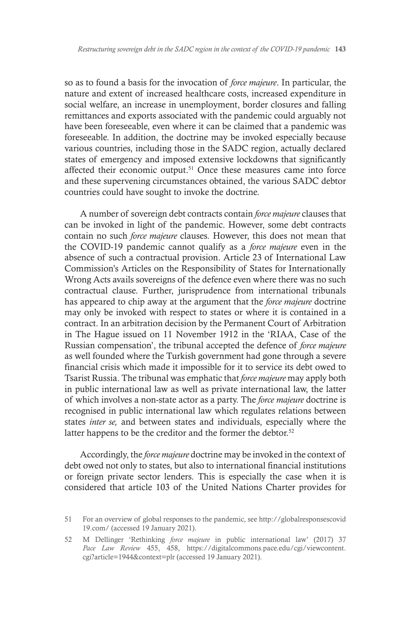so as to found a basis for the invocation of *force majeure*. In particular, the nature and extent of increased healthcare costs, increased expenditure in social welfare, an increase in unemployment, border closures and falling remittances and exports associated with the pandemic could arguably not have been foreseeable, even where it can be claimed that a pandemic was foreseeable. In addition, the doctrine may be invoked especially because various countries, including those in the SADC region, actually declared states of emergency and imposed extensive lockdowns that significantly affected their economic output.<sup>51</sup> Once these measures came into force and these supervening circumstances obtained, the various SADC debtor countries could have sought to invoke the doctrine.

A number of sovereign debt contracts contain *force majeure* clauses that can be invoked in light of the pandemic. However, some debt contracts contain no such *force majeure* clauses. However, this does not mean that the COVID-19 pandemic cannot qualify as a *force majeure* even in the absence of such a contractual provision. Article 23 of International Law Commission's Articles on the Responsibility of States for Internationally Wrong Acts avails sovereigns of the defence even where there was no such contractual clause. Further, jurisprudence from international tribunals has appeared to chip away at the argument that the *force majeure* doctrine may only be invoked with respect to states or where it is contained in a contract. In an arbitration decision by the Permanent Court of Arbitration in The Hague issued on 11 November 1912 in the 'RIAA, Case of the Russian compensation', the tribunal accepted the defence of *force majeure*  as well founded where the Turkish government had gone through a severe financial crisis which made it impossible for it to service its debt owed to Tsarist Russia. The tribunal was emphatic that *force majeure* may apply both in public international law as well as private international law, the latter of which involves a non-state actor as a party. The *force majeure* doctrine is recognised in public international law which regulates relations between states *inter se,* and between states and individuals, especially where the latter happens to be the creditor and the former the debtor.<sup>52</sup>

Accordingly, the *force majeure* doctrine may be invoked in the context of debt owed not only to states, but also to international financial institutions or foreign private sector lenders. This is especially the case when it is considered that article 103 of the United Nations Charter provides for

<sup>51</sup> For an overview of global responses to the pandemic, see http://globalresponsescovid 19.com/ (accessed 19 January 2021).

<sup>52</sup> M Dellinger 'Rethinking *force majeure* in public international law' (2017) 37 *Pace Law Review* 455, 458, https://digitalcommons.pace.edu/cgi/viewcontent. cgi?article=1944&context=plr (accessed 19 January 2021).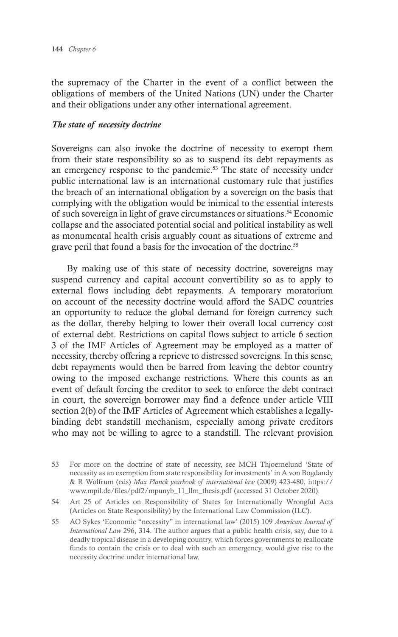the supremacy of the Charter in the event of a conflict between the obligations of members of the United Nations (UN) under the Charter and their obligations under any other international agreement.

#### *The state of necessity doctrine*

Sovereigns can also invoke the doctrine of necessity to exempt them from their state responsibility so as to suspend its debt repayments as an emergency response to the pandemic.<sup>53</sup> The state of necessity under public international law is an international customary rule that justifies the breach of an international obligation by a sovereign on the basis that complying with the obligation would be inimical to the essential interests of such sovereign in light of grave circumstances or situations.54 Economic collapse and the associated potential social and political instability as well as monumental health crisis arguably count as situations of extreme and grave peril that found a basis for the invocation of the doctrine.<sup>55</sup>

By making use of this state of necessity doctrine, sovereigns may suspend currency and capital account convertibility so as to apply to external flows including debt repayments. A temporary moratorium on account of the necessity doctrine would afford the SADC countries an opportunity to reduce the global demand for foreign currency such as the dollar, thereby helping to lower their overall local currency cost of external debt. Restrictions on capital flows subject to article 6 section 3 of the IMF Articles of Agreement may be employed as a matter of necessity, thereby offering a reprieve to distressed sovereigns. In this sense, debt repayments would then be barred from leaving the debtor country owing to the imposed exchange restrictions. Where this counts as an event of default forcing the creditor to seek to enforce the debt contract in court, the sovereign borrower may find a defence under article VIII section 2(b) of the IMF Articles of Agreement which establishes a legallybinding debt standstill mechanism, especially among private creditors who may not be willing to agree to a standstill. The relevant provision

<sup>53</sup> For more on the doctrine of state of necessity, see MCH Thjoernelund 'State of necessity as an exemption from state responsibility for investments' in A von Bogdandy & R Wolfrum (eds) *Max Planck yearbook of international law* (2009) 423-480, https:// www.mpil.de/files/pdf2/mpunyb\_11\_llm\_thesis.pdf (accessed 31 October 2020).

<sup>54</sup> Art 25 of Articles on Responsibility of States for Internationally Wrongful Acts (Articles on State Responsibility) by the International Law Commission (ILC).

<sup>55</sup> AO Sykes 'Economic "necessity" in international law' (2015) 109 *American Journal of International Law* 296, 314. The author argues that a public health crisis, say, due to a deadly tropical disease in a developing country, which forces governments to reallocate funds to contain the crisis or to deal with such an emergency, would give rise to the necessity doctrine under international law.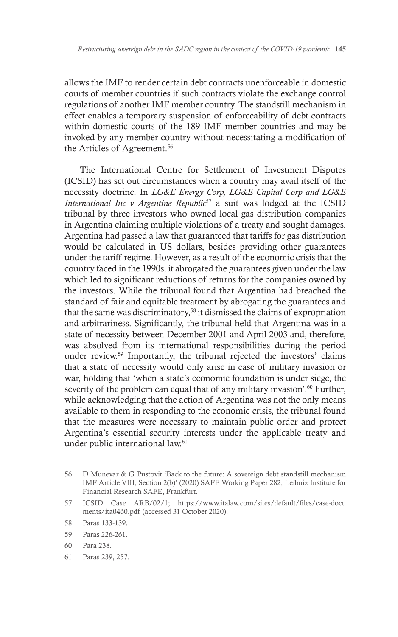allows the IMF to render certain debt contracts unenforceable in domestic courts of member countries if such contracts violate the exchange control regulations of another IMF member country. The standstill mechanism in effect enables a temporary suspension of enforceability of debt contracts within domestic courts of the 189 IMF member countries and may be invoked by any member country without necessitating a modification of the Articles of Agreement.<sup>56</sup>

The International Centre for Settlement of Investment Disputes (ICSID) has set out circumstances when a country may avail itself of the necessity doctrine. In *LG&E Energy Corp, LG&E Capital Corp and LG&E International Inc v Argentine Republic<sup>57</sup>* a suit was lodged at the ICSID tribunal by three investors who owned local gas distribution companies in Argentina claiming multiple violations of a treaty and sought damages. Argentina had passed a law that guaranteed that tariffs for gas distribution would be calculated in US dollars, besides providing other guarantees under the tariff regime. However, as a result of the economic crisis that the country faced in the 1990s, it abrogated the guarantees given under the law which led to significant reductions of returns for the companies owned by the investors. While the tribunal found that Argentina had breached the standard of fair and equitable treatment by abrogating the guarantees and that the same was discriminatory,<sup>58</sup> it dismissed the claims of expropriation and arbitrariness. Significantly, the tribunal held that Argentina was in a state of necessity between December 2001 and April 2003 and, therefore, was absolved from its international responsibilities during the period under review.59 Importantly, the tribunal rejected the investors' claims that a state of necessity would only arise in case of military invasion or war, holding that 'when a state's economic foundation is under siege, the severity of the problem can equal that of any military invasion'.<sup>60</sup> Further, while acknowledging that the action of Argentina was not the only means available to them in responding to the economic crisis, the tribunal found that the measures were necessary to maintain public order and protect Argentina's essential security interests under the applicable treaty and under public international law.<sup>61</sup>

57 ICSID Case ARB/02/1; https://www.italaw.com/sites/default/files/case-docu ments/ita0460.pdf (accessed 31 October 2020).

- 59 Paras 226-261.
- 60 Para 238.
- 61 Paras 239, 257.

<sup>56</sup> D Munevar & G Pustovit 'Back to the future: A sovereign debt standstill mechanism IMF Article VIII, Section 2(b)' (2020) SAFE Working Paper 282, Leibniz Institute for Financial Research SAFE, Frankfurt.

<sup>58</sup> Paras 133-139.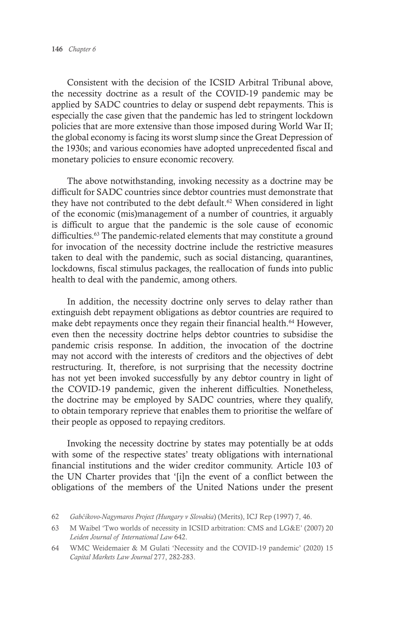Consistent with the decision of the ICSID Arbitral Tribunal above, the necessity doctrine as a result of the COVID-19 pandemic may be applied by SADC countries to delay or suspend debt repayments. This is especially the case given that the pandemic has led to stringent lockdown policies that are more extensive than those imposed during World War II; the global economy is facing its worst slump since the Great Depression of the 1930s; and various economies have adopted unprecedented fiscal and monetary policies to ensure economic recovery.

The above notwithstanding, invoking necessity as a doctrine may be difficult for SADC countries since debtor countries must demonstrate that they have not contributed to the debt default.<sup>62</sup> When considered in light of the economic (mis)management of a number of countries, it arguably is difficult to argue that the pandemic is the sole cause of economic difficulties.<sup>63</sup> The pandemic-related elements that may constitute a ground for invocation of the necessity doctrine include the restrictive measures taken to deal with the pandemic, such as social distancing, quarantines, lockdowns, fiscal stimulus packages, the reallocation of funds into public health to deal with the pandemic, among others.

In addition, the necessity doctrine only serves to delay rather than extinguish debt repayment obligations as debtor countries are required to make debt repayments once they regain their financial health.<sup>64</sup> However, even then the necessity doctrine helps debtor countries to subsidise the pandemic crisis response. In addition, the invocation of the doctrine may not accord with the interests of creditors and the objectives of debt restructuring. It, therefore, is not surprising that the necessity doctrine has not yet been invoked successfully by any debtor country in light of the COVID-19 pandemic, given the inherent difficulties. Nonetheless, the doctrine may be employed by SADC countries, where they qualify, to obtain temporary reprieve that enables them to prioritise the welfare of their people as opposed to repaying creditors.

Invoking the necessity doctrine by states may potentially be at odds with some of the respective states' treaty obligations with international financial institutions and the wider creditor community. Article 103 of the UN Charter provides that '[i]n the event of a conflict between the obligations of the members of the United Nations under the present

<sup>62</sup> *Gabčíkovo-Nagymaros Project (Hungary v Slovakia*) (Merits), ICJ Rep (1997) 7, 46.

<sup>63</sup> M Waibel 'Two worlds of necessity in ICSID arbitration: CMS and LG&E' (2007) 20 *Leiden Journal of International Law* 642.

<sup>64</sup> WMC Weidemaier & M Gulati 'Necessity and the COVID-19 pandemic' (2020) 15 *Capital Markets Law Journal* 277, 282-283.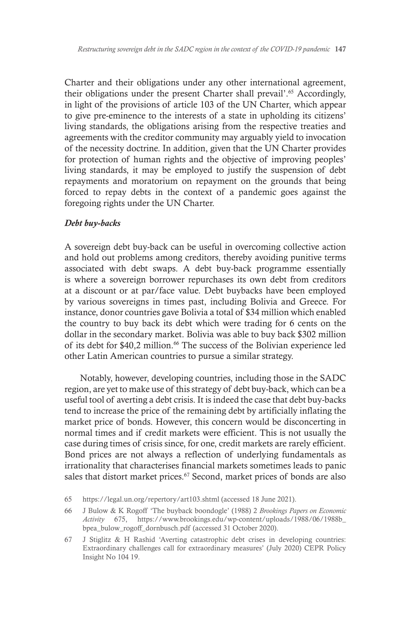Charter and their obligations under any other international agreement, their obligations under the present Charter shall prevail'.<sup>65</sup> Accordingly, in light of the provisions of article 103 of the UN Charter, which appear to give pre-eminence to the interests of a state in upholding its citizens' living standards, the obligations arising from the respective treaties and agreements with the creditor community may arguably yield to invocation of the necessity doctrine. In addition, given that the UN Charter provides for protection of human rights and the objective of improving peoples' living standards, it may be employed to justify the suspension of debt repayments and moratorium on repayment on the grounds that being forced to repay debts in the context of a pandemic goes against the foregoing rights under the UN Charter.

#### *Debt buy-backs*

A sovereign debt buy-back can be useful in overcoming collective action and hold out problems among creditors, thereby avoiding punitive terms associated with debt swaps. A debt buy-back programme essentially is where a sovereign borrower repurchases its own debt from creditors at a discount or at par/face value. Debt buybacks have been employed by various sovereigns in times past, including Bolivia and Greece. For instance, donor countries gave Bolivia a total of \$34 million which enabled the country to buy back its debt which were trading for 6 cents on the dollar in the secondary market. Bolivia was able to buy back \$302 million of its debt for \$40,2 million.<sup>66</sup> The success of the Bolivian experience led other Latin American countries to pursue a similar strategy.

Notably, however, developing countries, including those in the SADC region, are yet to make use of this strategy of debt buy-back, which can be a useful tool of averting a debt crisis. It is indeed the case that debt buy-backs tend to increase the price of the remaining debt by artificially inflating the market price of bonds. However, this concern would be disconcerting in normal times and if credit markets were efficient. This is not usually the case during times of crisis since, for one, credit markets are rarely efficient. Bond prices are not always a reflection of underlying fundamentals as irrationality that characterises financial markets sometimes leads to panic sales that distort market prices.<sup>67</sup> Second, market prices of bonds are also

<sup>65</sup> https://legal.un.org/repertory/art103.shtml (accessed 18 June 2021).

<sup>66</sup> J Bulow & K Rogoff 'The buyback boondogle' (1988) 2 *Brookings Papers on Economic Activity* 675, https://www.brookings.edu/wp-content/uploads/1988/06/1988b\_ bpea\_bulow\_rogoff\_dornbusch.pdf (accessed 31 October 2020).

<sup>67</sup> J Stiglitz & H Rashid 'Averting catastrophic debt crises in developing countries: Extraordinary challenges call for extraordinary measures' (July 2020) CEPR Policy Insight No 104 19.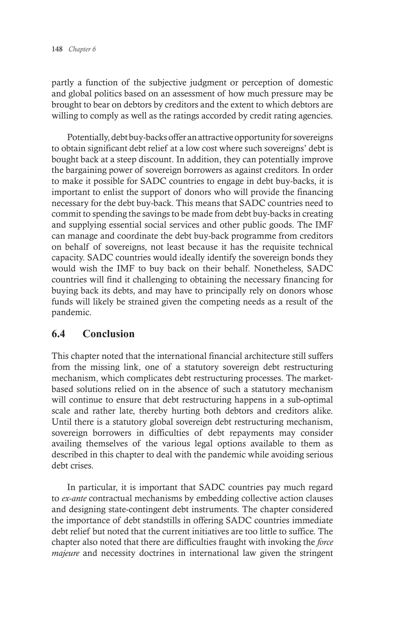partly a function of the subjective judgment or perception of domestic and global politics based on an assessment of how much pressure may be brought to bear on debtors by creditors and the extent to which debtors are willing to comply as well as the ratings accorded by credit rating agencies.

Potentially, debt buy-backs offer an attractive opportunity for sovereigns to obtain significant debt relief at a low cost where such sovereigns' debt is bought back at a steep discount. In addition, they can potentially improve the bargaining power of sovereign borrowers as against creditors. In order to make it possible for SADC countries to engage in debt buy-backs, it is important to enlist the support of donors who will provide the financing necessary for the debt buy-back. This means that SADC countries need to commit to spending the savings to be made from debt buy-backs in creating and supplying essential social services and other public goods. The IMF can manage and coordinate the debt buy-back programme from creditors on behalf of sovereigns, not least because it has the requisite technical capacity. SADC countries would ideally identify the sovereign bonds they would wish the IMF to buy back on their behalf. Nonetheless, SADC countries will find it challenging to obtaining the necessary financing for buying back its debts, and may have to principally rely on donors whose funds will likely be strained given the competing needs as a result of the pandemic.

#### **6.4 Conclusion**

This chapter noted that the international financial architecture still suffers from the missing link, one of a statutory sovereign debt restructuring mechanism, which complicates debt restructuring processes. The marketbased solutions relied on in the absence of such a statutory mechanism will continue to ensure that debt restructuring happens in a sub-optimal scale and rather late, thereby hurting both debtors and creditors alike. Until there is a statutory global sovereign debt restructuring mechanism, sovereign borrowers in difficulties of debt repayments may consider availing themselves of the various legal options available to them as described in this chapter to deal with the pandemic while avoiding serious debt crises.

In particular, it is important that SADC countries pay much regard to *ex-ante* contractual mechanisms by embedding collective action clauses and designing state-contingent debt instruments. The chapter considered the importance of debt standstills in offering SADC countries immediate debt relief but noted that the current initiatives are too little to suffice. The chapter also noted that there are difficulties fraught with invoking the *force majeure* and necessity doctrines in international law given the stringent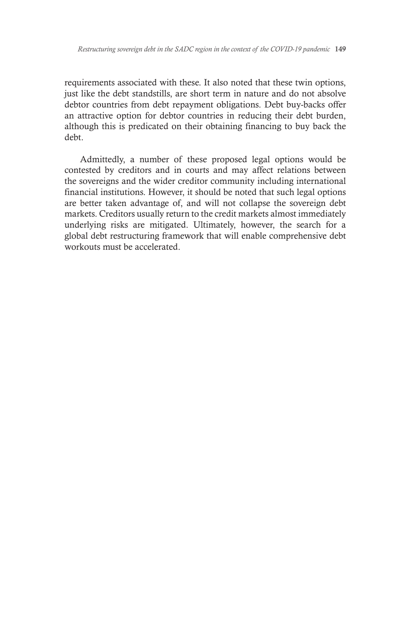requirements associated with these. It also noted that these twin options, just like the debt standstills, are short term in nature and do not absolve debtor countries from debt repayment obligations. Debt buy-backs offer an attractive option for debtor countries in reducing their debt burden, although this is predicated on their obtaining financing to buy back the debt.

Admittedly, a number of these proposed legal options would be contested by creditors and in courts and may affect relations between the sovereigns and the wider creditor community including international financial institutions. However, it should be noted that such legal options are better taken advantage of, and will not collapse the sovereign debt markets. Creditors usually return to the credit markets almost immediately underlying risks are mitigated. Ultimately, however, the search for a global debt restructuring framework that will enable comprehensive debt workouts must be accelerated.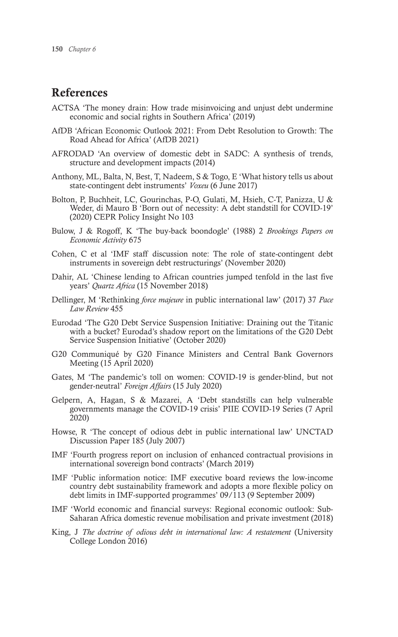## References

- ACTSA 'The money drain: How trade misinvoicing and unjust debt undermine economic and social rights in Southern Africa' (2019)
- AfDB 'African Economic Outlook 2021: From Debt Resolution to Growth: The Road Ahead for Africa' (AfDB 2021)
- AFRODAD 'An overview of domestic debt in SADC: A synthesis of trends, structure and development impacts (2014)
- Anthony, ML, Balta, N, Best, T, Nadeem, S & Togo, E 'What history tells us about state-contingent debt instruments' *Voxeu* (6 June 2017)
- Bolton, P, Buchheit, LC, Gourinchas, P-O, Gulati, M, Hsieh, C-T, Panizza, U & Weder, di Mauro B 'Born out of necessity: A debt standstill for COVID-19' (2020) CEPR Policy Insight No 103
- Bulow, J & Rogoff, K 'The buy-back boondogle' (1988) 2 *Brookings Papers on Economic Activity* 675
- Cohen, C et al 'IMF staff discussion note: The role of state-contingent debt instruments in sovereign debt restructurings' (November 2020)
- Dahir, AL 'Chinese lending to African countries jumped tenfold in the last five years' *Quartz Africa* (15 November 2018)
- Dellinger, M 'Rethinking *force majeure* in public international law' (2017) 37 *Pace Law Review* 455
- Eurodad 'The G20 Debt Service Suspension Initiative: Draining out the Titanic with a bucket? Eurodad's shadow report on the limitations of the G20 Debt Service Suspension Initiative' (October 2020)
- G20 Communiqué by G20 Finance Ministers and Central Bank Governors Meeting (15 April 2020)
- Gates, M 'The pandemic's toll on women: COVID-19 is gender-blind, but not gender-neutral' *Foreign Affairs* (15 July 2020)
- Gelpern, A, Hagan, S & Mazarei, A 'Debt standstills can help vulnerable governments manage the COVID-19 crisis' PIIE COVID-19 Series (7 April 2020)
- Howse, R 'The concept of odious debt in public international law' UNCTAD Discussion Paper 185 (July 2007)
- IMF 'Fourth progress report on inclusion of enhanced contractual provisions in international sovereign bond contracts' (March 2019)
- IMF 'Public information notice: IMF executive board reviews the low-income country debt sustainability framework and adopts a more flexible policy on debt limits in IMF-supported programmes' 09/113 (9 September 2009)
- IMF 'World economic and financial surveys: Regional economic outlook: Sub-Saharan Africa domestic revenue mobilisation and private investment (2018)
- King, J *The doctrine of odious debt in international law: A restatement* (University College London 2016)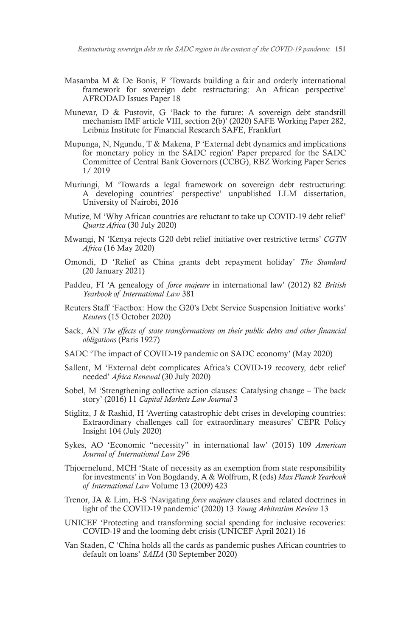- Masamba M & De Bonis, F 'Towards building a fair and orderly international framework for sovereign debt restructuring: An African perspective' AFRODAD Issues Paper 18
- Munevar, D & Pustovit, G 'Back to the future: A sovereign debt standstill mechanism IMF article VIII, section 2(b)' (2020) SAFE Working Paper 282, Leibniz Institute for Financial Research SAFE, Frankfurt
- Mupunga, N, Ngundu, T & Makena, P 'External debt dynamics and implications for monetary policy in the SADC region' Paper prepared for the SADC Committee of Central Bank Governors (CCBG), RBZ Working Paper Series 1/ 2019
- Muriungi, M 'Towards a legal framework on sovereign debt restructuring: A developing countries' perspective' unpublished LLM dissertation, University of Nairobi, 2016
- Mutize, M 'Why African countries are reluctant to take up COVID-19 debt relief' *Quartz Africa* (30 July 2020)
- Mwangi, N 'Kenya rejects G20 debt relief initiative over restrictive terms' *CGTN Africa* (16 May 2020)
- Omondi, D 'Relief as China grants debt repayment holiday' *The Standard* (20 January 2021)
- Paddeu, FI 'A genealogy of *force majeure* in international law' (2012) 82 *British Yearbook of International Law* 381
- Reuters Staff 'Factbox: How the G20's Debt Service Suspension Initiative works' *Reuters* (15 October 2020)
- Sack, AN *The effects of state transformations on their public debts and other financial obligations* (Paris 1927)
- SADC 'The impact of COVID-19 pandemic on SADC economy' (May 2020)
- Sallent, M 'External debt complicates Africa's COVID-19 recovery, debt relief needed' *Africa Renewal* (30 July 2020)
- Sobel, M 'Strengthening collective action clauses: Catalysing change The back story' (2016) 11 *Capital Markets Law Journal* 3
- Stiglitz, J & Rashid, H 'Averting catastrophic debt crises in developing countries: Extraordinary challenges call for extraordinary measures' CEPR Policy Insight 104 (July 2020)
- Sykes, AO 'Economic "necessity" in international law' (2015) 109 *American Journal of International Law* 296
- Thjoernelund, MCH 'State of necessity as an exemption from state responsibility for investments' in Von Bogdandy, A & Wolfrum, R (eds) *Max Planck Yearbook of International Law* Volume 13 (2009) 423
- Trenor, JA & Lim, H-S 'Navigating *force majeure* clauses and related doctrines in light of the COVID-19 pandemic' (2020) 13 *Young Arbitration Review* 13
- UNICEF 'Protecting and transforming social spending for inclusive recoveries: COVID-19 and the looming debt crisis (UNICEF April 2021) 16
- Van Staden, C 'China holds all the cards as pandemic pushes African countries to default on loans' *SAIIA* (30 September 2020)